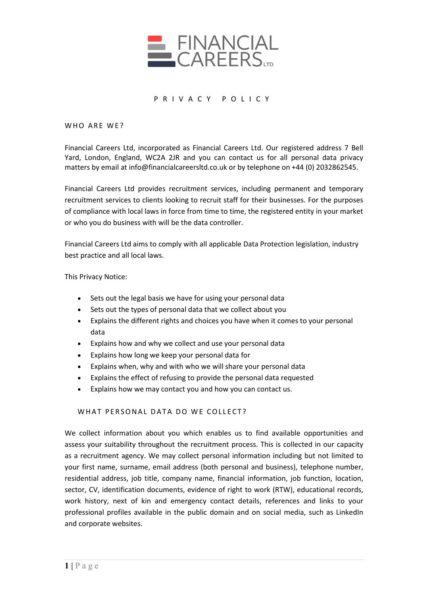

### PRIVACY POLICY

WHO ARE WE?

Financial Careers Ltd, incorporated as Financial Careers Ltd. Our registered address 7 Bell Yard, London, England, WC2A 2JR and you can contact us for all personal data privacy matters by email at info@financialcareersltd.co.uk or by telephone on +44 (0) 2032862545.

Financial Careers Ltd provides recruitment services, including permanent and temporary recruitment services to clients looking to recruit staff for their businesses. For the purposes of compliance with local laws in force from time to time, the registered entity in your market or who you do business with will be the data controller.

Financial Careers Ltd aims to comply with all applicable Data Protection legislation, industry best practice and all local laws.

This Privacy Notice:

- Sets out the legal basis we have for using your personal data
- Sets out the types of personal data that we collect about you
- Explains the different rights and choices you have when it comes to your personal data
- Explains how and why we collect and use your personal data
- Explains how long we keep your personal data for
- Explains when, why and with who we will share your personal data
- Explains the effect of refusing to provide the personal data requested
- Explains how we may contact you and how you can contact us.

#### WHAT PERSONAL DATA DO WE COLLECT?

We collect information about you which enables us to find available opportunities and assess your suitability throughout the recruitment process. This is collected in our capacity as a recruitment agency. We may collect personal information including but not limited to your first name, surname, email address (both personal and business), telephone number, residential address, job title, company name, financial information, job function, location, sector, CV, identification documents, evidence of right to work (RTW), educational records, work history, next of kin and emergency contact details, references and links to your professional profiles available in the public domain and on social media, such as LinkedIn and corporate websites.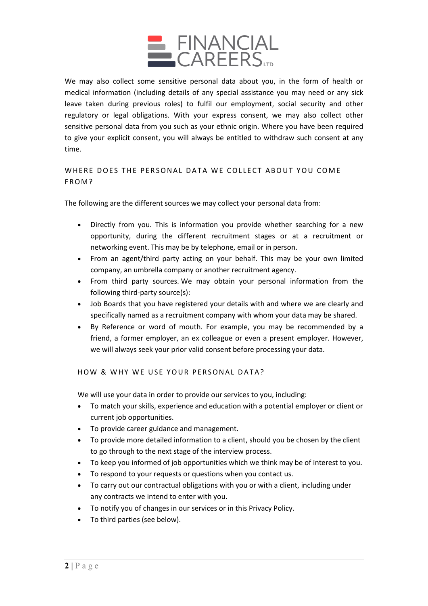

We may also collect some sensitive personal data about you, in the form of health or medical information (including details of any special assistance you may need or any sick leave taken during previous roles) to fulfil our employment, social security and other regulatory or legal obligations. With your express consent, we may also collect other sensitive personal data from you such as your ethnic origin. Where you have been required to give your explicit consent, you will always be entitled to withdraw such consent at any time.

# WHERE DOES THE PERSONAL DATA WE COLLECT ABOUT YOU COME FROM?

The following are the different sources we may collect your personal data from:

- Directly from you. This is information you provide whether searching for a new opportunity, during the different recruitment stages or at a recruitment or networking event. This may be by telephone, email or in person.
- From an agent/third party acting on your behalf. This may be your own limited company, an umbrella company or another recruitment agency.
- From third party sources. We may obtain your personal information from the following third-party source(s):
- Job Boards that you have registered your details with and where we are clearly and specifically named as a recruitment company with whom your data may be shared.
- By Reference or word of mouth. For example, you may be recommended by a friend, a former employer, an ex colleague or even a present employer. However, we will always seek your prior valid consent before processing your data.

# HOW & WHY WE USE YOUR PERSONAL DATA?

We will use your data in order to provide our services to you, including:

- To match your skills, experience and education with a potential employer or client or current job opportunities.
- To provide career guidance and management.
- To provide more detailed information to a client, should you be chosen by the client to go through to the next stage of the interview process.
- To keep you informed of job opportunities which we think may be of interest to you.
- To respond to your requests or questions when you contact us.
- To carry out our contractual obligations with you or with a client, including under any contracts we intend to enter with you.
- To notify you of changes in our services or in this Privacy Policy.
- To third parties (see below).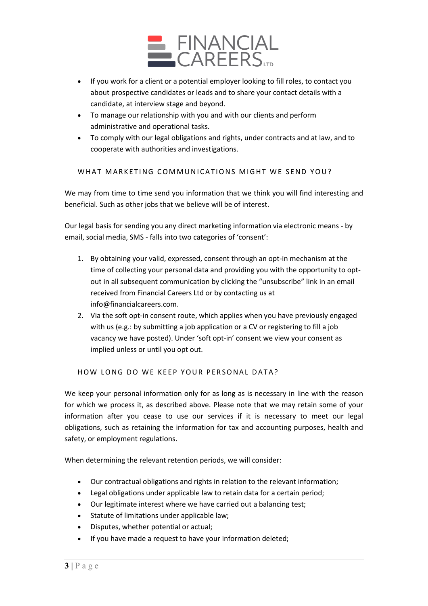

- If you work for a client or a potential employer looking to fill roles, to contact you about prospective candidates or leads and to share your contact details with a candidate, at interview stage and beyond.
- To manage our relationship with you and with our clients and perform administrative and operational tasks.
- To comply with our legal obligations and rights, under contracts and at law, and to cooperate with authorities and investigations.

WHAT MARKETING COMMUNICATIONS MIGHT WE SEND YOU?

We may from time to time send you information that we think you will find interesting and beneficial. Such as other jobs that we believe will be of interest.

Our legal basis for sending you any direct marketing information via electronic means - by email, social media, SMS - falls into two categories of 'consent':

- 1. By obtaining your valid, expressed, consent through an opt-in mechanism at the time of collecting your personal data and providing you with the opportunity to optout in all subsequent communication by clicking the "unsubscribe" link in an email received from Financial Careers Ltd or by contacting us at info@financialcareers.com.
- 2. Via the soft opt-in consent route, which applies when you have previously engaged with us (e.g.: by submitting a job application or a CV or registering to fill a job vacancy we have posted). Under 'soft opt-in' consent we view your consent as implied unless or until you opt out.

HOW LONG DO WE KEEP YOUR PERSONAL DATA?

We keep your personal information only for as long as is necessary in line with the reason for which we process it, as described above. Please note that we may retain some of your information after you cease to use our services if it is necessary to meet our legal obligations, such as retaining the information for tax and accounting purposes, health and safety, or employment regulations.

When determining the relevant retention periods, we will consider:

- Our contractual obligations and rights in relation to the relevant information;
- Legal obligations under applicable law to retain data for a certain period;
- Our legitimate interest where we have carried out a balancing test;
- Statute of limitations under applicable law;
- Disputes, whether potential or actual;
- If you have made a request to have your information deleted;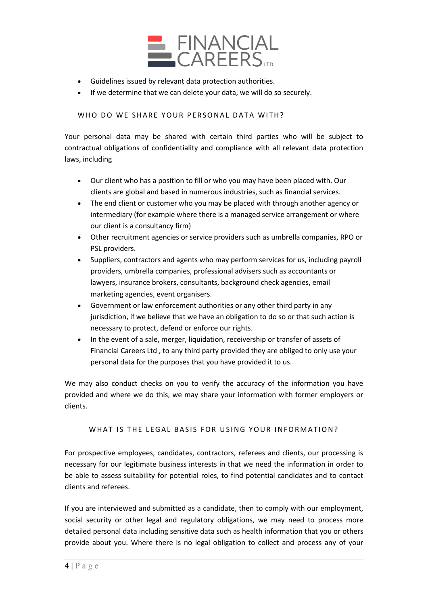

- Guidelines issued by relevant data protection authorities.
- If we determine that we can delete your data, we will do so securely.

### WHO DO WE SHARE YOUR PERSONAL DATA WITH?

Your personal data may be shared with certain third parties who will be subject to contractual obligations of confidentiality and compliance with all relevant data protection laws, including

- Our client who has a position to fill or who you may have been placed with. Our clients are global and based in numerous industries, such as financial services.
- The end client or customer who you may be placed with through another agency or intermediary (for example where there is a managed service arrangement or where our client is a consultancy firm)
- Other recruitment agencies or service providers such as umbrella companies, RPO or PSL providers.
- Suppliers, contractors and agents who may perform services for us, including payroll providers, umbrella companies, professional advisers such as accountants or lawyers, insurance brokers, consultants, background check agencies, email marketing agencies, event organisers.
- Government or law enforcement authorities or any other third party in any jurisdiction, if we believe that we have an obligation to do so or that such action is necessary to protect, defend or enforce our rights.
- In the event of a sale, merger, liquidation, receivership or transfer of assets of Financial Careers Ltd , to any third party provided they are obliged to only use your personal data for the purposes that you have provided it to us.

We may also conduct checks on you to verify the accuracy of the information you have provided and where we do this, we may share your information with former employers or clients.

#### WHAT IS THE LEGAL BASIS FOR USING YOUR INFORMATION?

For prospective employees, candidates, contractors, referees and clients, our processing is necessary for our legitimate business interests in that we need the information in order to be able to assess suitability for potential roles, to find potential candidates and to contact clients and referees.

If you are interviewed and submitted as a candidate, then to comply with our employment, social security or other legal and regulatory obligations, we may need to process more detailed personal data including sensitive data such as health information that you or others provide about you. Where there is no legal obligation to collect and process any of your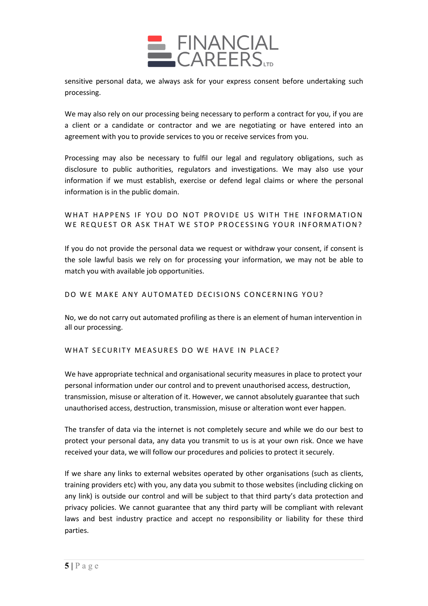

sensitive personal data, we always ask for your express consent before undertaking such processing.

We may also rely on our processing being necessary to perform a contract for you, if you are a client or a candidate or contractor and we are negotiating or have entered into an agreement with you to provide services to you or receive services from you.

Processing may also be necessary to fulfil our legal and regulatory obligations, such as disclosure to public authorities, regulators and investigations. We may also use your information if we must establish, exercise or defend legal claims or where the personal information is in the public domain.

# WHAT HAPPENS IF YOU DO NOT PROVIDE US WITH THE INFORMATION WE REQUEST OR ASK THAT WE STOP PROCESSING YOUR INFORMATION?

If you do not provide the personal data we request or withdraw your consent, if consent is the sole lawful basis we rely on for processing your information, we may not be able to match you with available job opportunities.

### DO WE MAKE ANY AUTOMATED DECISIONS CONCERNING YOU?

No, we do not carry out automated profiling as there is an element of human intervention in all our processing.

#### WHAT SECURITY MEASURES DO WE HAVE IN PLACE?

We have appropriate technical and organisational security measures in place to protect your personal information under our control and to prevent unauthorised access, destruction, transmission, misuse or alteration of it. However, we cannot absolutely guarantee that such unauthorised access, destruction, transmission, misuse or alteration wont ever happen.

The transfer of data via the internet is not completely secure and while we do our best to protect your personal data, any data you transmit to us is at your own risk. Once we have received your data, we will follow our procedures and policies to protect it securely.

If we share any links to external websites operated by other organisations (such as clients, training providers etc) with you, any data you submit to those websites (including clicking on any link) is outside our control and will be subject to that third party's data protection and privacy policies. We cannot guarantee that any third party will be compliant with relevant laws and best industry practice and accept no responsibility or liability for these third parties.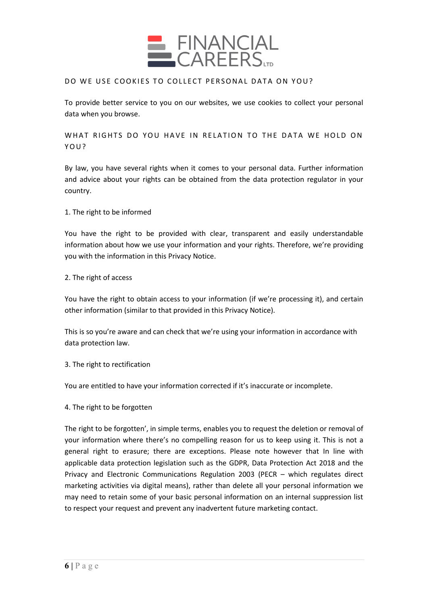

### DO WE USE COOKIES TO COLLECT PERSONAL DATA ON YOU?

To provide better service to you on our websites, we use cookies to collect your personal data when you browse.

WHAT RIGHTS DO YOU HAVE IN RELATION TO THE DATA WE HOLD ON YOU?

By law, you have several rights when it comes to your personal data. Further information and advice about your rights can be obtained from the data protection regulator in your country.

1. The right to be informed

You have the right to be provided with clear, transparent and easily understandable information about how we use your information and your rights. Therefore, we're providing you with the information in this Privacy Notice.

#### 2. The right of access

You have the right to obtain access to your information (if we're processing it), and certain other information (similar to that provided in this Privacy Notice).

This is so you're aware and can check that we're using your information in accordance with data protection law.

### 3. The right to rectification

You are entitled to have your information corrected if it's inaccurate or incomplete.

#### 4. The right to be forgotten

The right to be forgotten', in simple terms, enables you to request the deletion or removal of your information where there's no compelling reason for us to keep using it. This is not a general right to erasure; there are exceptions. Please note however that In line with applicable data protection legislation such as the GDPR, Data Protection Act 2018 and the Privacy and Electronic Communications Regulation 2003 (PECR – which regulates direct marketing activities via digital means), rather than delete all your personal information we may need to retain some of your basic personal information on an internal suppression list to respect your request and prevent any inadvertent future marketing contact.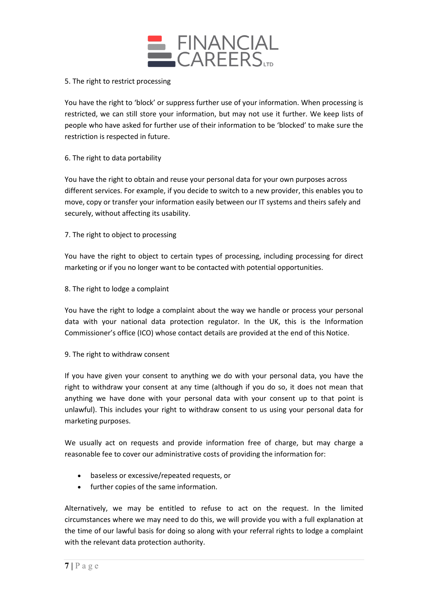

### 5. The right to restrict processing

You have the right to 'block' or suppress further use of your information. When processing is restricted, we can still store your information, but may not use it further. We keep lists of people who have asked for further use of their information to be 'blocked' to make sure the restriction is respected in future.

## 6. The right to data portability

You have the right to obtain and reuse your personal data for your own purposes across different services. For example, if you decide to switch to a new provider, this enables you to move, copy or transfer your information easily between our IT systems and theirs safely and securely, without affecting its usability.

## 7. The right to object to processing

You have the right to object to certain types of processing, including processing for direct marketing or if you no longer want to be contacted with potential opportunities.

8. The right to lodge a complaint

You have the right to lodge a complaint about the way we handle or process your personal data with your national data protection regulator. In the UK, this is the Information Commissioner's office (ICO) whose contact details are provided at the end of this Notice.

9. The right to withdraw consent

If you have given your consent to anything we do with your personal data, you have the right to withdraw your consent at any time (although if you do so, it does not mean that anything we have done with your personal data with your consent up to that point is unlawful). This includes your right to withdraw consent to us using your personal data for marketing purposes.

We usually act on requests and provide information free of charge, but may charge a reasonable fee to cover our administrative costs of providing the information for:

- baseless or excessive/repeated requests, or
- further copies of the same information.

Alternatively, we may be entitled to refuse to act on the request. In the limited circumstances where we may need to do this, we will provide you with a full explanation at the time of our lawful basis for doing so along with your referral rights to lodge a complaint with the relevant data protection authority.